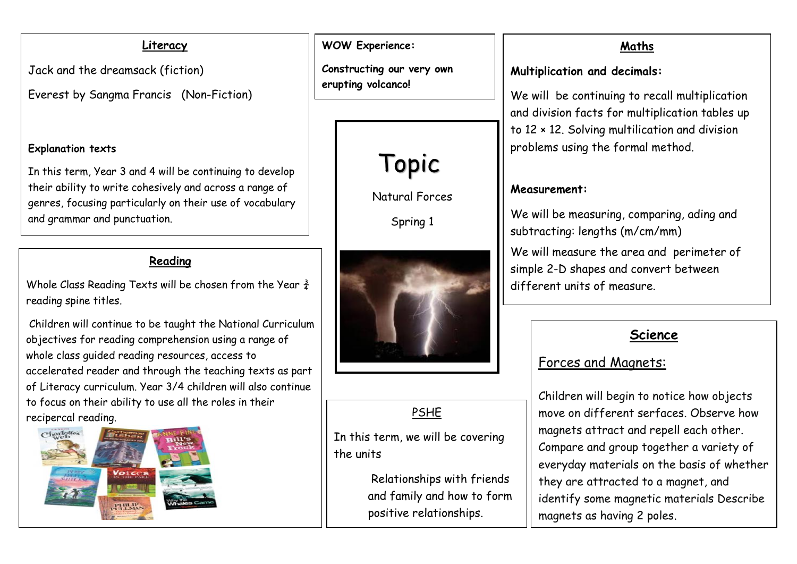#### **Literacy**

Jack and the dreamsack (fiction)

Everest by Sangma Francis (Non-Fiction)

#### **Explanation texts**

 their ability to write cohesively and across a range of In this term, Year 3 and 4 will be continuing to develop genres, focusing particularly on their use of vocabulary and grammar and punctuation.

# **Reading**

Whole Class Reading Texts will be chosen from the Year  $\frac{3}{4}$ reading spine titles.

Children will continue to be taught the National Curriculum objectives for reading comprehension using a range of whole class guided reading resources, access to accelerated reader and through the teaching texts as part of Literacy curriculum. Year 3/4 children will also continue to focus on their ability to use all the roles in their recipercal reading.



**WOW Experience:**

**Constructing our very own erupting volcanco!**

# Topic

Natural Forces

Spring 1



PSHE

In this term, we will be covering the units

> Relationships with friends and family and how to form positive relationships.

## **Maths**

#### **Multiplication and decimals:**

We will be continuing to recall multiplication and division facts for multiplication tables up to 12 × 12. Solving multilication and division problems using the formal method.

#### **Measurement:**

We will be measuring, comparing, ading and subtracting: lengths (m/cm/mm)

We will measure the area and perimeter of simple 2-D shapes and convert between different units of measure.

# **Science**

# Forces and Magnets:

Children will begin to notice how objects move on different serfaces. Observe how magnets attract and repell each other. Compare and group together a variety of everyday materials on the basis of whether they are attracted to a magnet, and identify some magnetic materials Describe magnets as having 2 poles.